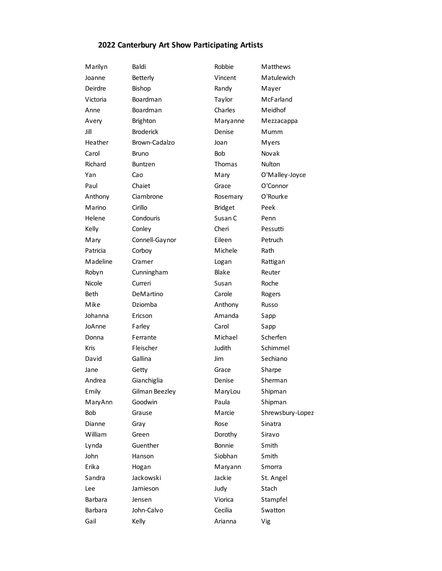## **2022 Canterbury Art Show Participating Artists**

| Marilyn     | Baldi            | Robbie         | Matthews         |
|-------------|------------------|----------------|------------------|
| Joanne      | Betterly         | Vincent        | Matulewich       |
| Deirdre     | <b>Bishop</b>    | Randy          | Mayer            |
| Victoria    | Boardman         | Taylor         | McFarland        |
| Anne        | Boardman         | Charles        | Meidhof          |
| Avery       | Brighton         | Maryanne       | Mezzacappa       |
| Jill        | <b>Broderick</b> | Denise         | Mumm             |
| Heather     | Brown-Cadalzo    | Joan           | Myers            |
| Carol       | Bruno            | Bob            | Novak            |
| Richard     | <b>Buntzen</b>   | Thomas         | <b>Nulton</b>    |
| Yan         | Cao              | Mary           | O'Malley-Joyce   |
| Paul        | Chaiet           | Grace          | O'Connor         |
| Anthony     | Ciambrone        | Rosemary       | O'Rourke         |
| Marino      | Cirillo          | <b>Bridget</b> | Peek             |
| Helene      | Condouris        | Susan C        | Penn             |
| Kelly       | Conley           | Cheri          | Pessutti         |
| Mary        | Connell-Gaynor   | Eileen         | Petruch          |
| Patricia    | Corboy           | Michele        | Rath             |
| Madeline    | Cramer           | Logan          | Rattigan         |
| Robyn       | Cunningham       | Blake          | Reuter           |
| Nicole      | Curreri          | Susan          | Roche            |
| <b>Beth</b> | DeMartino        | Carole         | Rogers           |
| Mike        | Dziomba          | Anthony        | Russo            |
| Johanna     | Ericson          | Amanda         | Sapp             |
| JoAnne      | Farley           | Carol          | Sapp             |
| Donna       | Ferrante         | Michael        | Scherfen         |
| <b>Kris</b> | Fleischer        | Judith         | Schimmel         |
| David       | Gallina          | Jim            | Sechiano         |
| Jane        | Getty            | Grace          | Sharpe           |
| Andrea      | Gianchiglia      | Denise         | Sherman          |
| Emily       | Gilman Beezley   | MaryLou        | Shipman          |
| MaryAnn     | Goodwin          | Paula          | Shipman          |
| Bob         | Grause           | Marcie         | Shrewsbury-Lopez |
| Dianne      | Gray             | Rose           | Sinatra          |
| William     | Green            | Dorothy        | Siravo           |
| Lynda       | Guenther         | Bonnie         | Smith            |
| John        | Hanson           | Siobhan        | Smith            |
| Erika       | Hogan            | Maryann        | Smorra           |
| Sandra      | Jackowski        | Jackie         | St. Angel        |
| Lee         | Jamieson         | Judy           | Stach            |
| Barbara     | Jensen           | Viorica        | Stampfel         |
| Barbara     | John-Calvo       | Cecilia        | Swatton          |
| Gail        | Kelly            | Arianna        | Vig              |